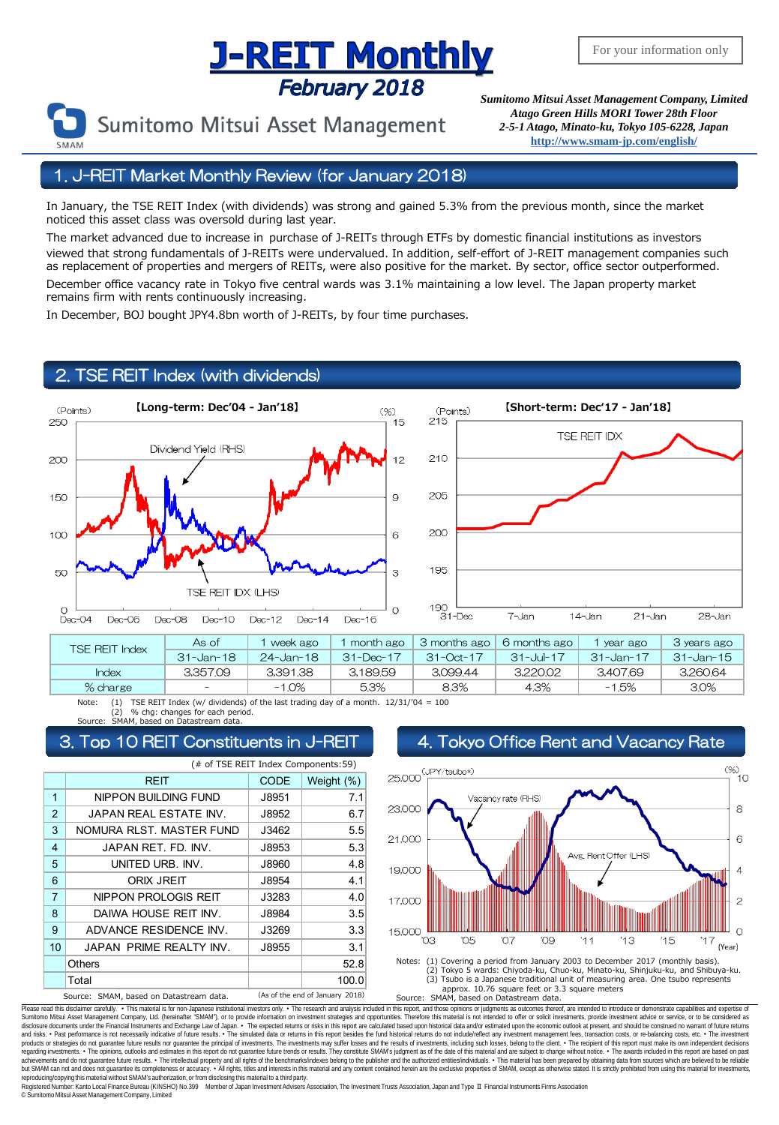# **Supering The Superior Concept Asset Management Company, Limited**<br>February 2018 Sumitomo Mitsui Asset Management Company, Limited

Sumitomo Mitsui Asset Management

*Atago Green Hills MORI Tower 28th Floor 2-5-1 Atago, Minato-ku, Tokyo 105-6228, Japan* **<http://www.smam-jp.com/english/>**

#### 1. J-REIT Market Monthly Review (for January 2018)

In January, the TSE REIT Index (with dividends) was strong and gained 5.3% from the previous month, since the market noticed this asset class was oversold during last year.

The market advanced due to increase in purchase of J-REITs through ETFs by domestic financial institutions as investors viewed that strong fundamentals of J-REITs were undervalued. In addition, self-effort of J-REIT management companies such as replacement of properties and mergers of REITs, were also positive for the market. By sector, office sector outperformed. December office vacancy rate in Tokyo five central wards was 3.1% maintaining a low level. The Japan property market remains firm with rents continuously increasing.

In December, BOJ bought JPY4.8bn worth of J-REITs, by four time purchases.

#### 2. TSE REIT Index (with dividends)





| TSE REIT Index | As of         | week ago  | month ago       | 3 months ago    | 6 months ago | year ago  | 3 years ago |
|----------------|---------------|-----------|-----------------|-----------------|--------------|-----------|-------------|
|                | $31 - Jan-18$ | 24-Jan-18 | $31 - Dec - 17$ | $31 - Oct - 17$ | 31-Jul-17    | 31-Jan-17 | - 31-Jan-15 |
| Index          | 3.357.09      | 3,391.38  | 3.189.59        | 3.099.44        | 3,220.02     | 3.407.69  | 3.260.64    |
| % charge       | $-$           | $-1.0%$   | 5.3%            | 8.3%            | 4.3%         | -1.5%     | 3.0%        |

Note: (1) TSE REIT Index (w/ dividends) of the last trading day of a month.  $12/31/704 = 100$ (2) % chg: changes for each period. Source: SMAM, based on Datastream data.

|                                                                            | (# of TSE REIT Index Components:59) |       |            |  |  |  |
|----------------------------------------------------------------------------|-------------------------------------|-------|------------|--|--|--|
|                                                                            | <b>REIT</b>                         | CODE  | Weight (%) |  |  |  |
| $\overline{1}$                                                             | NIPPON BUILDING FUND                | J8951 | 7.1        |  |  |  |
| $\overline{2}$                                                             | JAPAN REAL ESTATE INV.              | J8952 | 6.7        |  |  |  |
| 3                                                                          | NOMURA RLST. MASTER FUND            | J3462 | 5.5        |  |  |  |
| 4                                                                          | JAPAN RET. FD. INV.                 | J8953 | 5.3        |  |  |  |
| 5                                                                          | UNITED URB. INV.                    | J8960 | 4.8        |  |  |  |
| 6                                                                          | ORIX JREIT                          | J8954 | 4.1        |  |  |  |
| $\overline{7}$                                                             | NIPPON PROLOGIS REIT                | J3283 | 4.0        |  |  |  |
| 8                                                                          | DAIWA HOUSE REIT INV.               | J8984 | 3.5        |  |  |  |
| 9                                                                          | ADVANCE RESIDENCE INV.              | J3269 | 3.3        |  |  |  |
| 10                                                                         | JAPAN PRIME REALTY INV.             | J8955 | 3.1        |  |  |  |
|                                                                            | <b>Others</b>                       |       | 52.8       |  |  |  |
|                                                                            | Total                               |       | 100.0      |  |  |  |
| (As of the end of January 2018)<br>Source: SMAM, based on Datastream data. |                                     |       |            |  |  |  |

#### 3. Top 10 REIT Constituents in J-REIT 4. Tokyo Office Rent and Vacancy Rate



approx. 10.76 square feet or 3.3 square meters<br>Source: SMAM, based on Datastream data. SMAM, based on Datastream data.

Please read this disclaimer carefuly. • This material is for non-Japanese institutional investors only. • The research and analysis included in this report, and those opinions or judgments as outcomes thereof, are intended disclosure documents under the Financial Instruments and Exchange Law of Japan. • The expected relums or risks in this report are calculated based upon historial data and/or estimated upon the economic outlook at present, products or strategies do not guarantee future results nor guarantee the principal of investments. The investments may suffer losses and the results of investments, including such losses, belong to the client. . The recipi regarding investments. • The opinions, outlooks and estimates in this report do not guarantee future trends or results. They constitute SMAM's judgment as of the date of this material and are subject to change without noti reproducing/copying this material without SMAM's authorization, or from disclosing this material to a third party

egistered Number: Kanto Local Finance Bureau (KINSHO) No.399 Member of Japan Investment Advisers Association, The Investment Trusts Association, Japan and Type Ⅱ Financial Instruments Firms Association © SumitomoMitsui Asset Management Company, Limited

For your information only